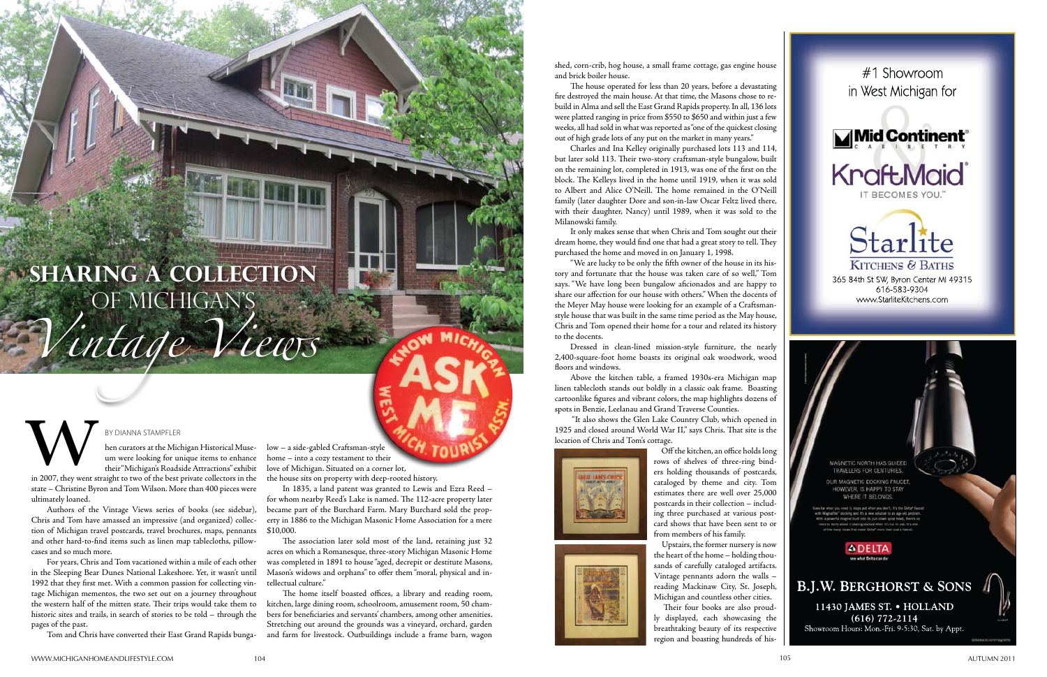BY DIANNA STAMPFLER<br>
hen curators at the Michigan Historical Muse-<br>
um were looking for unique items to enhance<br>
their "Michigan's Roadside Attractions" exhibit<br>
in 2007, they went straight to two of the best private colle um were looking for unique items to enhance their "Michigan's Roadside Attractions" exhibit

in 2007, they went straight to two of the best private collectors in the state – Christine Byron and Tom Wilson. More than 400 pieces were ultimately loaned.

Authors of the Vintage Views series of books (see sidebar), Chris and Tom have amassed an impressive (and organized) collection of Michigan travel postcards, travel brochures, maps, pennants and other hard-to-find items such as linen map tablecloths, pillowcases and so much more.

For years, Chris and Tom vacationed within a mile of each other in the Sleeping Bear Dunes National Lakeshore. Yet, it wasn't until 1992 that they first met. With a common passion for collecting vintage Michigan mementos, the two set out on a journey throughout the western half of the mitten state. Their trips would take them to historic sites and trails, in search of stories to be told – through the pages of the past.

Tom and Chris have converted their East Grand Rapids bunga-

low – a side-gabled Craftsman-style home – into a cozy testament to their love of Michigan. Situated on a corner lot,

the house sits on property with deep-rooted history.

In 1835, a land patent was granted to Lewis and Ezra Reed – for whom nearby Reed's Lake is named. The 112-acre property later became part of the Burchard Farm. Mary Burchard sold the property in 1886 to the Michigan Masonic Home Association for a mere \$10,000.

The association later sold most of the land, retaining just 32 acres on which a Romanesque, three-story Michigan Masonic Home was completed in 1891 to house "aged, decrepit or destitute Masons, Mason's widows and orphans" to offer them "moral, physical and intellectual culture."

The home itself boasted offices, a library and reading room, kitchen, large dining room, schoolroom, amusement room, 50 chambers for beneficiaries and servants' chambers, among other amenities. Stretching out around the grounds was a vineyard, orchard, garden and farm for livestock. Outbuildings include a frame barn, wagon



MAGNETIC NORTH HAS GUIDED TRAVELERS FOR CENTURIES.

OUR MAGNETIC DOCKING FAUCET. HOWEVER, IS HAPPY TO STAY WHERE IT BELONGS





shed, corn-crib, hog house, a small frame cottage, gas engine house and brick boiler house.

The house operated for less than 20 years, before a devastating fire destroyed the main house. At that time, the Masons chose to re build in Alma and sell the East Grand Rapids property. In all, 136 lots were platted ranging in price from \$550 to \$650 and within just a few weeks, all had sold in what was reported as "one of the quickest closing out of high grade lots of any put on the market in many years."

Charles and Ina Kelley originally purchased lots 113 and 114, but later sold 113. Their two-story craftsman-style bungalow, built on the remaining lot, completed in 1913, was one of the first on the block. The Kelleys lived in the home until 1919, when it was sold to Albert and Alice O'Neill. The home remained in the O'Neill family (later daughter Dore and son-in-law Oscar Feltz lived there, with their daughter, Nancy) until 1989, when it was sold to the Milanowski family.

It only makes sense that when Chris and Tom sought out their dream home, they would find one that had a great story to tell. They purchased the home and moved in on January 1, 1998.

"We are lucky to be only the fifth owner of the house in its history and fortunate that the house was taken care of so well," Tom says. "We have long been bungalow aficionados and are happy to share our affection for our house with others." When the docents of the Meyer May house were looking for an example of a Craftsmanstyle house that was built in the same time period as the May house, Chris and Tom opened their home for a tour and related its history to the docents.

Dressed in clean-lined mission-style furniture, the nearly 2,400-square-foot home boasts its original oak woodwork, wood floors and windows.

Above the kitchen table, a framed 1930s-era Michigan map linen tablecloth stands out boldly in a classic oak frame. Boasting cartoonlike figures and vibrant colors, the map highlights dozens of spots in Benzie, Leelanau and Grand Traverse Counties.

 "It also shows the Glen Lake Country Club, which opened in 1925 and closed around World War II," says Chris. That site is the location of Chris and Tom's cottage.





 Off the kitchen, an office holds long rows of shelves of three-ring binders holding thousands of postcards, cataloged by theme and city. Tom estimates there are well over 25,000 postcards in their collection – including three purchased at various postcard shows that have been sent to or from members of his family.

 Upstairs, the former nursery is now the heart of the home – holding thousands of carefully cataloged artifacts. Vintage pennants adorn the walls – reading Mackinaw City, St. Joseph, Michigan and countless other cities.

 Their four books are also proudly displayed, each showcasing the breathtaking beauty of its respective region and boasting hundreds of his -

## **Sharing A Collection**  of Michigan's *Vintage Views*

## DIANNA STAMPFLER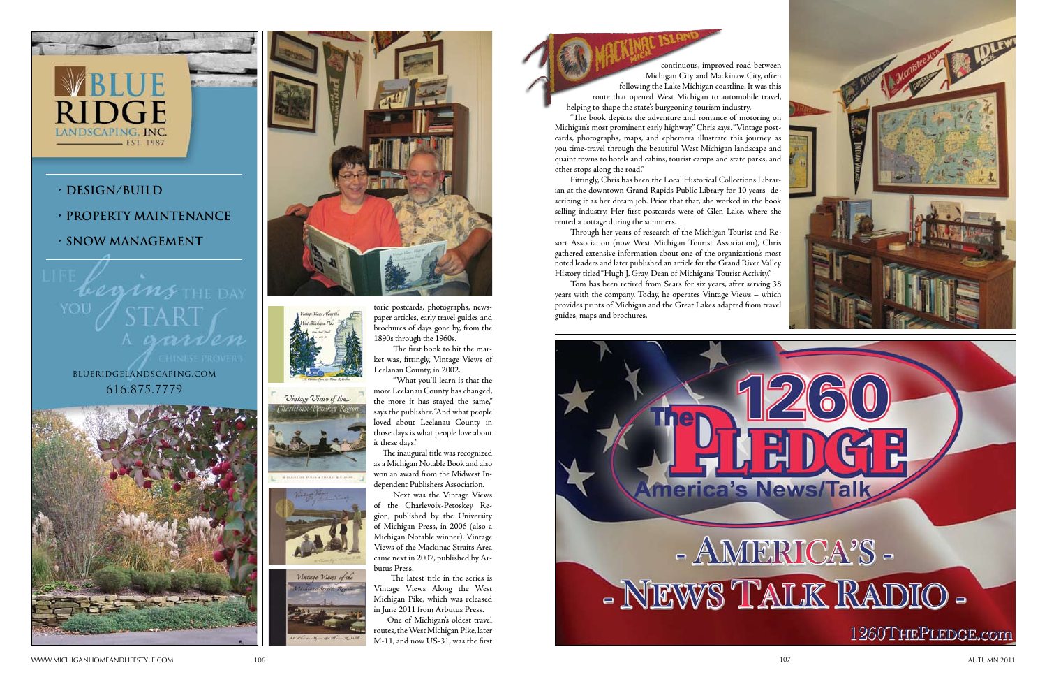www. michiganho eandlifes tyle.co m

m 106 107 AUTUMN 2011

## **• Design/BuilD**

RIDGE

LANDSCAPING, INC.

**• PROPeRTY MainTenance**

 $\mathcal{W}$  the DAY

 $-$  EST. 1987

**• snOW ManageMenT**















toric postcards, photographs, news paper articles, early travel guides and brochures of days gone by, from the 1890s through the 1960s.

The first book to hit the market was, fittingly, Vintage Views of Leelanau County, in 2002.

"What you'll learn is that the more Leelanau County has changed, the more it has stayed the same," says the publisher. "And what people loved about Leelanau County in those days is what people love about it these days."



 The inaugural title was recognized as a Michigan Notable Book and also won an award from the Midwest In dependent Publishers Association.

 Next was the Vintage Views of the Charlevoix-Petoskey Region, published by the University of Michigan Press, in 2006 (also a Michigan Notable winner). Vintage Views of the Mackinac Straits Area came next in 2007, published by Arbutus Press.

 The latest title in the series is Vintage Views Along the West Michigan Pike, which was released in June 2011 from Arbutus Press.

 One of Michigan's oldest travel routes, the West Michigan Pike, later M-11, and now US-31, was the first

guides, maps and brochures.